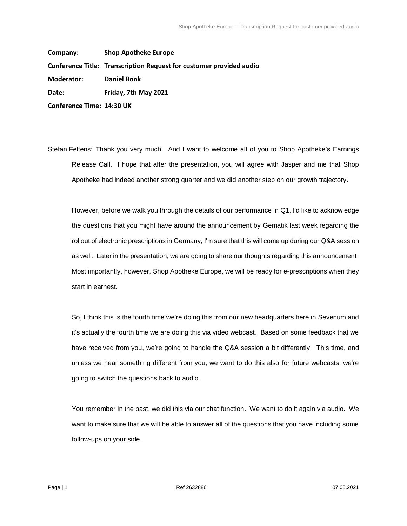**Company: Shop Apotheke Europe Conference Title: Transcription Request for customer provided audio Moderator: Daniel Bonk Date: Friday, 7th May 2021 Conference Time: 14:30 UK**

Stefan Feltens: Thank you very much. And I want to welcome all of you to Shop Apotheke's Earnings Release Call. I hope that after the presentation, you will agree with Jasper and me that Shop Apotheke had indeed another strong quarter and we did another step on our growth trajectory.

However, before we walk you through the details of our performance in Q1, I'd like to acknowledge the questions that you might have around the announcement by Gematik last week regarding the rollout of electronic prescriptions in Germany, I'm sure that this will come up during our Q&A session as well. Later in the presentation, we are going to share our thoughts regarding this announcement. Most importantly, however, Shop Apotheke Europe, we will be ready for e-prescriptions when they start in earnest.

So, I think this is the fourth time we're doing this from our new headquarters here in Sevenum and it's actually the fourth time we are doing this via video webcast. Based on some feedback that we have received from you, we're going to handle the Q&A session a bit differently. This time, and unless we hear something different from you, we want to do this also for future webcasts, we're going to switch the questions back to audio.

You remember in the past, we did this via our chat function. We want to do it again via audio. We want to make sure that we will be able to answer all of the questions that you have including some follow-ups on your side.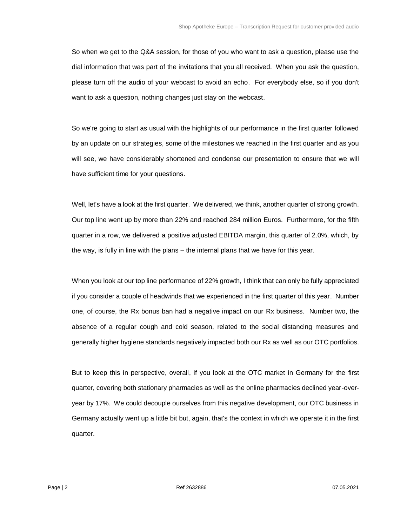So when we get to the Q&A session, for those of you who want to ask a question, please use the dial information that was part of the invitations that you all received. When you ask the question, please turn off the audio of your webcast to avoid an echo. For everybody else, so if you don't want to ask a question, nothing changes just stay on the webcast.

So we're going to start as usual with the highlights of our performance in the first quarter followed by an update on our strategies, some of the milestones we reached in the first quarter and as you will see, we have considerably shortened and condense our presentation to ensure that we will have sufficient time for your questions.

Well, let's have a look at the first quarter. We delivered, we think, another quarter of strong growth. Our top line went up by more than 22% and reached 284 million Euros. Furthermore, for the fifth quarter in a row, we delivered a positive adjusted EBITDA margin, this quarter of 2.0%, which, by the way, is fully in line with the plans – the internal plans that we have for this year.

When you look at our top line performance of 22% growth, I think that can only be fully appreciated if you consider a couple of headwinds that we experienced in the first quarter of this year. Number one, of course, the Rx bonus ban had a negative impact on our Rx business. Number two, the absence of a regular cough and cold season, related to the social distancing measures and generally higher hygiene standards negatively impacted both our Rx as well as our OTC portfolios.

But to keep this in perspective, overall, if you look at the OTC market in Germany for the first quarter, covering both stationary pharmacies as well as the online pharmacies declined year-overyear by 17%. We could decouple ourselves from this negative development, our OTC business in Germany actually went up a little bit but, again, that's the context in which we operate it in the first quarter.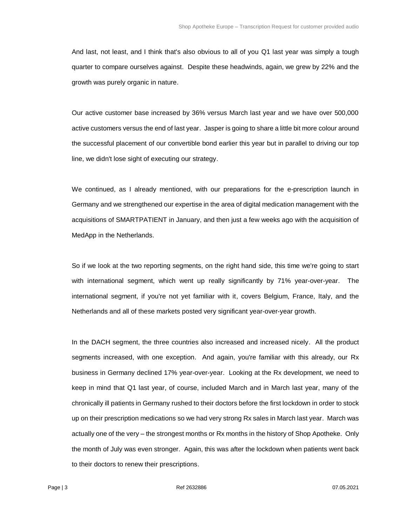And last, not least, and I think that's also obvious to all of you Q1 last year was simply a tough quarter to compare ourselves against. Despite these headwinds, again, we grew by 22% and the growth was purely organic in nature.

Our active customer base increased by 36% versus March last year and we have over 500,000 active customers versus the end of last year. Jasper is going to share a little bit more colour around the successful placement of our convertible bond earlier this year but in parallel to driving our top line, we didn't lose sight of executing our strategy.

We continued, as I already mentioned, with our preparations for the e-prescription launch in Germany and we strengthened our expertise in the area of digital medication management with the acquisitions of SMARTPATIENT in January, and then just a few weeks ago with the acquisition of MedApp in the Netherlands.

So if we look at the two reporting segments, on the right hand side, this time we're going to start with international segment, which went up really significantly by 71% year-over-year. The international segment, if you're not yet familiar with it, covers Belgium, France, Italy, and the Netherlands and all of these markets posted very significant year-over-year growth.

In the DACH segment, the three countries also increased and increased nicely. All the product segments increased, with one exception. And again, you're familiar with this already, our Rx business in Germany declined 17% year-over-year. Looking at the Rx development, we need to keep in mind that Q1 last year, of course, included March and in March last year, many of the chronically ill patients in Germany rushed to their doctors before the first lockdown in order to stock up on their prescription medications so we had very strong Rx sales in March last year. March was actually one of the very – the strongest months or Rx months in the history of Shop Apotheke. Only the month of July was even stronger. Again, this was after the lockdown when patients went back to their doctors to renew their prescriptions.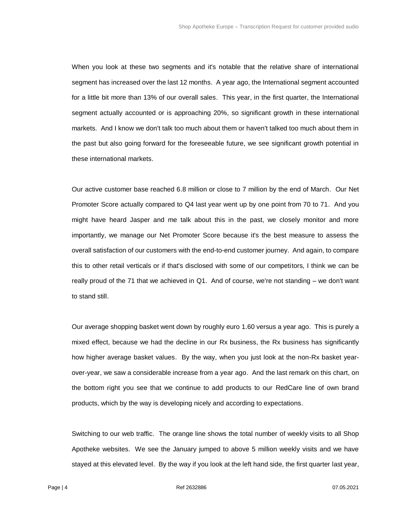When you look at these two segments and it's notable that the relative share of international segment has increased over the last 12 months. A year ago, the International segment accounted for a little bit more than 13% of our overall sales. This year, in the first quarter, the International segment actually accounted or is approaching 20%, so significant growth in these international markets. And I know we don't talk too much about them or haven't talked too much about them in the past but also going forward for the foreseeable future, we see significant growth potential in these international markets.

Our active customer base reached 6.8 million or close to 7 million by the end of March. Our Net Promoter Score actually compared to Q4 last year went up by one point from 70 to 71. And you might have heard Jasper and me talk about this in the past, we closely monitor and more importantly, we manage our Net Promoter Score because it's the best measure to assess the overall satisfaction of our customers with the end-to-end customer journey. And again, to compare this to other retail verticals or if that's disclosed with some of our competitors, I think we can be really proud of the 71 that we achieved in Q1. And of course, we're not standing – we don't want to stand still.

Our average shopping basket went down by roughly euro 1.60 versus a year ago. This is purely a mixed effect, because we had the decline in our Rx business, the Rx business has significantly how higher average basket values. By the way, when you just look at the non-Rx basket yearover-year, we saw a considerable increase from a year ago. And the last remark on this chart, on the bottom right you see that we continue to add products to our RedCare line of own brand products, which by the way is developing nicely and according to expectations.

Switching to our web traffic. The orange line shows the total number of weekly visits to all Shop Apotheke websites. We see the January jumped to above 5 million weekly visits and we have stayed at this elevated level. By the way if you look at the left hand side, the first quarter last year,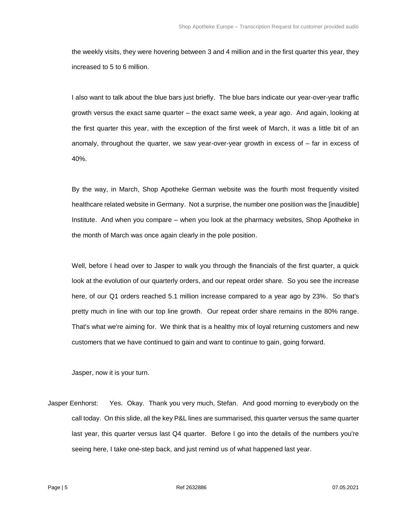the weekly visits, they were hovering between 3 and 4 million and in the first quarter this year, they increased to 5 to 6 million.

I also want to talk about the blue bars just briefly. The blue bars indicate our year-over-year traffic growth versus the exact same quarter – the exact same week, a year ago. And again, looking at the first quarter this year, with the exception of the first week of March, it was a little bit of an anomaly, throughout the quarter, we saw year-over-year growth in excess of – far in excess of 40%.

By the way, in March, Shop Apotheke German website was the fourth most frequently visited healthcare related website in Germany. Not a surprise, the number one position was the [inaudible] Institute. And when you compare – when you look at the pharmacy websites, Shop Apotheke in the month of March was once again clearly in the pole position.

Well, before I head over to Jasper to walk you through the financials of the first quarter, a quick look at the evolution of our quarterly orders, and our repeat order share. So you see the increase here, of our Q1 orders reached 5.1 million increase compared to a year ago by 23%. So that's pretty much in line with our top line growth. Our repeat order share remains in the 80% range. That's what we're aiming for. We think that is a healthy mix of loyal returning customers and new customers that we have continued to gain and want to continue to gain, going forward.

Jasper, now it is your turn.

Jasper Eenhorst: Yes. Okay. Thank you very much, Stefan. And good morning to everybody on the call today. On this slide, all the key P&L lines are summarised, this quarter versus the same quarter last year, this quarter versus last Q4 quarter. Before I go into the details of the numbers you're seeing here, I take one-step back, and just remind us of what happened last year.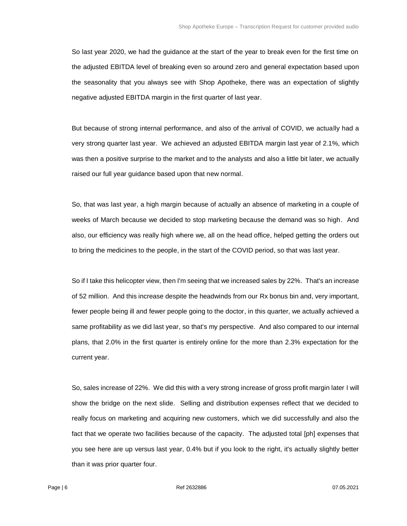So last year 2020, we had the guidance at the start of the year to break even for the first time on the adjusted EBITDA level of breaking even so around zero and general expectation based upon the seasonality that you always see with Shop Apotheke, there was an expectation of slightly negative adjusted EBITDA margin in the first quarter of last year.

But because of strong internal performance, and also of the arrival of COVID, we actually had a very strong quarter last year. We achieved an adjusted EBITDA margin last year of 2.1%, which was then a positive surprise to the market and to the analysts and also a little bit later, we actually raised our full year guidance based upon that new normal.

So, that was last year, a high margin because of actually an absence of marketing in a couple of weeks of March because we decided to stop marketing because the demand was so high. And also, our efficiency was really high where we, all on the head office, helped getting the orders out to bring the medicines to the people, in the start of the COVID period, so that was last year.

So if I take this helicopter view, then I'm seeing that we increased sales by 22%. That's an increase of 52 million. And this increase despite the headwinds from our Rx bonus bin and, very important, fewer people being ill and fewer people going to the doctor, in this quarter, we actually achieved a same profitability as we did last year, so that's my perspective. And also compared to our internal plans, that 2.0% in the first quarter is entirely online for the more than 2.3% expectation for the current year.

So, sales increase of 22%. We did this with a very strong increase of gross profit margin later I will show the bridge on the next slide. Selling and distribution expenses reflect that we decided to really focus on marketing and acquiring new customers, which we did successfully and also the fact that we operate two facilities because of the capacity. The adjusted total [ph] expenses that you see here are up versus last year, 0.4% but if you look to the right, it's actually slightly better than it was prior quarter four.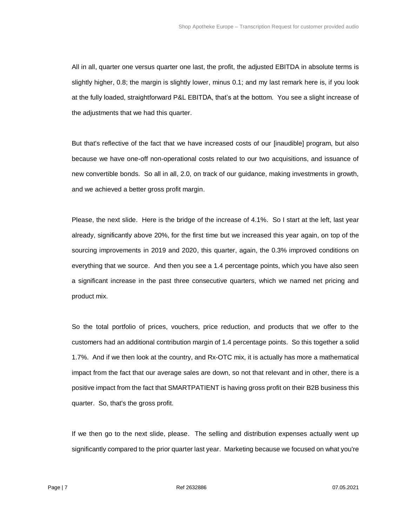All in all, quarter one versus quarter one last, the profit, the adjusted EBITDA in absolute terms is slightly higher, 0.8; the margin is slightly lower, minus 0.1; and my last remark here is, if you look at the fully loaded, straightforward P&L EBITDA, that's at the bottom. You see a slight increase of the adjustments that we had this quarter.

But that's reflective of the fact that we have increased costs of our [inaudible] program, but also because we have one-off non-operational costs related to our two acquisitions, and issuance of new convertible bonds. So all in all, 2.0, on track of our guidance, making investments in growth, and we achieved a better gross profit margin.

Please, the next slide. Here is the bridge of the increase of 4.1%. So I start at the left, last year already, significantly above 20%, for the first time but we increased this year again, on top of the sourcing improvements in 2019 and 2020, this quarter, again, the 0.3% improved conditions on everything that we source. And then you see a 1.4 percentage points, which you have also seen a significant increase in the past three consecutive quarters, which we named net pricing and product mix.

So the total portfolio of prices, vouchers, price reduction, and products that we offer to the customers had an additional contribution margin of 1.4 percentage points. So this together a solid 1.7%. And if we then look at the country, and Rx-OTC mix, it is actually has more a mathematical impact from the fact that our average sales are down, so not that relevant and in other, there is a positive impact from the fact that SMARTPATIENT is having gross profit on their B2B business this quarter. So, that's the gross profit.

If we then go to the next slide, please. The selling and distribution expenses actually went up significantly compared to the prior quarter last year. Marketing because we focused on what you're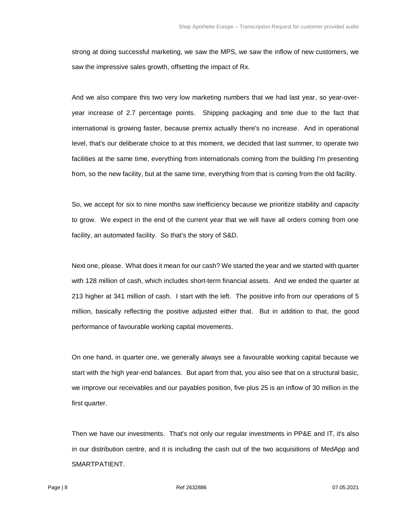strong at doing successful marketing, we saw the MPS, we saw the inflow of new customers, we saw the impressive sales growth, offsetting the impact of Rx.

And we also compare this two very low marketing numbers that we had last year, so year-overyear increase of 2.7 percentage points. Shipping packaging and time due to the fact that international is growing faster, because premix actually there's no increase. And in operational level, that's our deliberate choice to at this moment, we decided that last summer, to operate two facilities at the same time, everything from internationals coming from the building I'm presenting from, so the new facility, but at the same time, everything from that is coming from the old facility.

So, we accept for six to nine months saw inefficiency because we prioritize stability and capacity to grow. We expect in the end of the current year that we will have all orders coming from one facility, an automated facility. So that's the story of S&D.

Next one, please. What does it mean for our cash? We started the year and we started with quarter with 128 million of cash, which includes short-term financial assets. And we ended the quarter at 213 higher at 341 million of cash. I start with the left. The positive info from our operations of 5 million, basically reflecting the positive adjusted either that. But in addition to that, the good performance of favourable working capital movements.

On one hand, in quarter one, we generally always see a favourable working capital because we start with the high year-end balances. But apart from that, you also see that on a structural basic, we improve our receivables and our payables position, five plus 25 is an inflow of 30 million in the first quarter.

Then we have our investments. That's not only our regular investments in PP&E and IT, it's also in our distribution centre, and it is including the cash out of the two acquisitions of MedApp and SMARTPATIENT.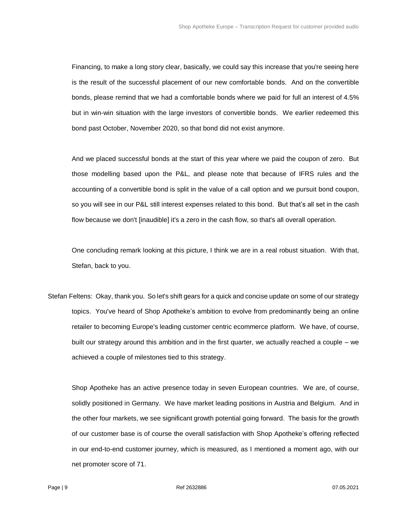Financing, to make a long story clear, basically, we could say this increase that you're seeing here is the result of the successful placement of our new comfortable bonds. And on the convertible bonds, please remind that we had a comfortable bonds where we paid for full an interest of 4.5% but in win-win situation with the large investors of convertible bonds. We earlier redeemed this bond past October, November 2020, so that bond did not exist anymore.

And we placed successful bonds at the start of this year where we paid the coupon of zero. But those modelling based upon the P&L, and please note that because of IFRS rules and the accounting of a convertible bond is split in the value of a call option and we pursuit bond coupon, so you will see in our P&L still interest expenses related to this bond. But that's all set in the cash flow because we don't [inaudible] it's a zero in the cash flow, so that's all overall operation.

One concluding remark looking at this picture, I think we are in a real robust situation. With that, Stefan, back to you.

Stefan Feltens: Okay, thank you. So let's shift gears for a quick and concise update on some of our strategy topics. You've heard of Shop Apotheke's ambition to evolve from predominantly being an online retailer to becoming Europe's leading customer centric ecommerce platform. We have, of course, built our strategy around this ambition and in the first quarter, we actually reached a couple – we achieved a couple of milestones tied to this strategy.

Shop Apotheke has an active presence today in seven European countries. We are, of course, solidly positioned in Germany. We have market leading positions in Austria and Belgium. And in the other four markets, we see significant growth potential going forward. The basis for the growth of our customer base is of course the overall satisfaction with Shop Apotheke's offering reflected in our end-to-end customer journey, which is measured, as I mentioned a moment ago, with our net promoter score of 71.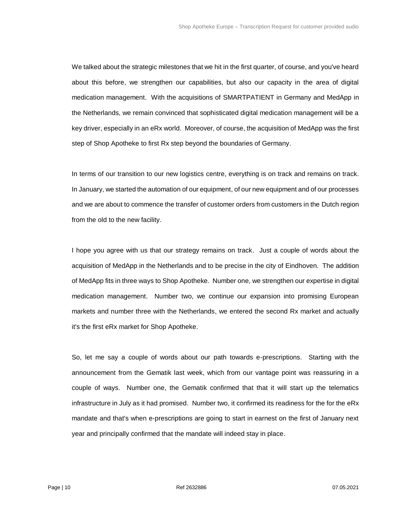We talked about the strategic milestones that we hit in the first quarter, of course, and you've heard about this before, we strengthen our capabilities, but also our capacity in the area of digital medication management. With the acquisitions of SMARTPATIENT in Germany and MedApp in the Netherlands, we remain convinced that sophisticated digital medication management will be a key driver, especially in an eRx world. Moreover, of course, the acquisition of MedApp was the first step of Shop Apotheke to first Rx step beyond the boundaries of Germany.

In terms of our transition to our new logistics centre, everything is on track and remains on track. In January, we started the automation of our equipment, of our new equipment and of our processes and we are about to commence the transfer of customer orders from customers in the Dutch region from the old to the new facility.

I hope you agree with us that our strategy remains on track. Just a couple of words about the acquisition of MedApp in the Netherlands and to be precise in the city of Eindhoven. The addition of MedApp fits in three ways to Shop Apotheke. Number one, we strengthen our expertise in digital medication management. Number two, we continue our expansion into promising European markets and number three with the Netherlands, we entered the second Rx market and actually it's the first eRx market for Shop Apotheke.

So, let me say a couple of words about our path towards e-prescriptions. Starting with the announcement from the Gematik last week, which from our vantage point was reassuring in a couple of ways. Number one, the Gematik confirmed that that it will start up the telematics infrastructure in July as it had promised. Number two, it confirmed its readiness for the for the eRx mandate and that's when e-prescriptions are going to start in earnest on the first of January next year and principally confirmed that the mandate will indeed stay in place.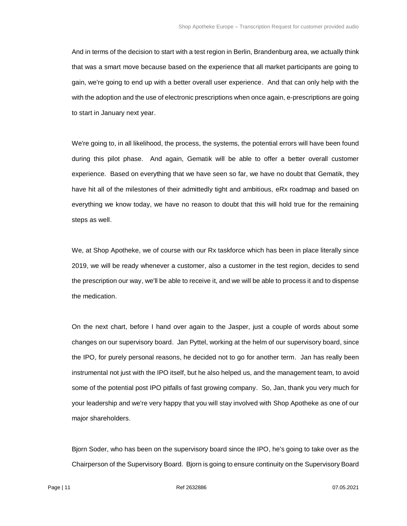And in terms of the decision to start with a test region in Berlin, Brandenburg area, we actually think that was a smart move because based on the experience that all market participants are going to gain, we're going to end up with a better overall user experience. And that can only help with the with the adoption and the use of electronic prescriptions when once again, e-prescriptions are going to start in January next year.

We're going to, in all likelihood, the process, the systems, the potential errors will have been found during this pilot phase. And again, Gematik will be able to offer a better overall customer experience. Based on everything that we have seen so far, we have no doubt that Gematik, they have hit all of the milestones of their admittedly tight and ambitious, eRx roadmap and based on everything we know today, we have no reason to doubt that this will hold true for the remaining steps as well.

We, at Shop Apotheke, we of course with our Rx taskforce which has been in place literally since 2019, we will be ready whenever a customer, also a customer in the test region, decides to send the prescription our way, we'll be able to receive it, and we will be able to process it and to dispense the medication.

On the next chart, before I hand over again to the Jasper, just a couple of words about some changes on our supervisory board. Jan Pyttel, working at the helm of our supervisory board, since the IPO, for purely personal reasons, he decided not to go for another term. Jan has really been instrumental not just with the IPO itself, but he also helped us, and the management team, to avoid some of the potential post IPO pitfalls of fast growing company. So, Jan, thank you very much for your leadership and we're very happy that you will stay involved with Shop Apotheke as one of our major shareholders.

Bjorn Soder, who has been on the supervisory board since the IPO, he's going to take over as the Chairperson of the Supervisory Board. Bjorn is going to ensure continuity on the Supervisory Board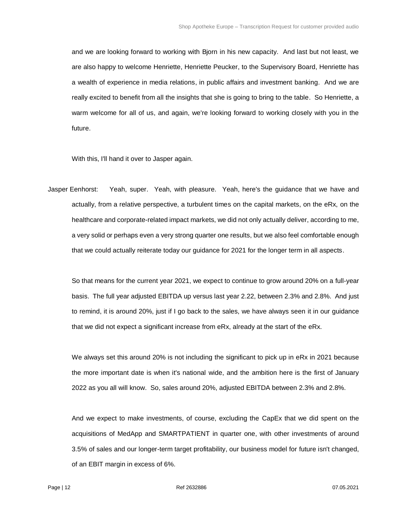and we are looking forward to working with Bjorn in his new capacity. And last but not least, we are also happy to welcome Henriette, Henriette Peucker, to the Supervisory Board, Henriette has a wealth of experience in media relations, in public affairs and investment banking. And we are really excited to benefit from all the insights that she is going to bring to the table. So Henriette, a warm welcome for all of us, and again, we're looking forward to working closely with you in the future.

With this, I'll hand it over to Jasper again.

Jasper Eenhorst: Yeah, super. Yeah, with pleasure. Yeah, here's the guidance that we have and actually, from a relative perspective, a turbulent times on the capital markets, on the eRx, on the healthcare and corporate-related impact markets, we did not only actually deliver, according to me, a very solid or perhaps even a very strong quarter one results, but we also feel comfortable enough that we could actually reiterate today our guidance for 2021 for the longer term in all aspects.

So that means for the current year 2021, we expect to continue to grow around 20% on a full-year basis. The full year adjusted EBITDA up versus last year 2.22, between 2.3% and 2.8%. And just to remind, it is around 20%, just if I go back to the sales, we have always seen it in our guidance that we did not expect a significant increase from eRx, already at the start of the eRx.

We always set this around 20% is not including the significant to pick up in eRx in 2021 because the more important date is when it's national wide, and the ambition here is the first of January 2022 as you all will know. So, sales around 20%, adjusted EBITDA between 2.3% and 2.8%.

And we expect to make investments, of course, excluding the CapEx that we did spent on the acquisitions of MedApp and SMARTPATIENT in quarter one, with other investments of around 3.5% of sales and our longer-term target profitability, our business model for future isn't changed, of an EBIT margin in excess of 6%.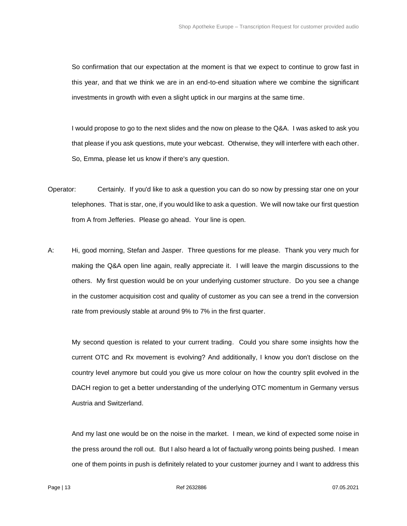So confirmation that our expectation at the moment is that we expect to continue to grow fast in this year, and that we think we are in an end-to-end situation where we combine the significant investments in growth with even a slight uptick in our margins at the same time.

I would propose to go to the next slides and the now on please to the Q&A. I was asked to ask you that please if you ask questions, mute your webcast. Otherwise, they will interfere with each other. So, Emma, please let us know if there's any question.

- Operator: Certainly. If you'd like to ask a question you can do so now by pressing star one on your telephones. That is star, one, if you would like to ask a question. We will now take our first question from A from Jefferies. Please go ahead. Your line is open.
- A: Hi, good morning, Stefan and Jasper. Three questions for me please. Thank you very much for making the Q&A open line again, really appreciate it. I will leave the margin discussions to the others. My first question would be on your underlying customer structure. Do you see a change in the customer acquisition cost and quality of customer as you can see a trend in the conversion rate from previously stable at around 9% to 7% in the first quarter.

My second question is related to your current trading. Could you share some insights how the current OTC and Rx movement is evolving? And additionally, I know you don't disclose on the country level anymore but could you give us more colour on how the country split evolved in the DACH region to get a better understanding of the underlying OTC momentum in Germany versus Austria and Switzerland.

And my last one would be on the noise in the market. I mean, we kind of expected some noise in the press around the roll out. But I also heard a lot of factually wrong points being pushed. I mean one of them points in push is definitely related to your customer journey and I want to address this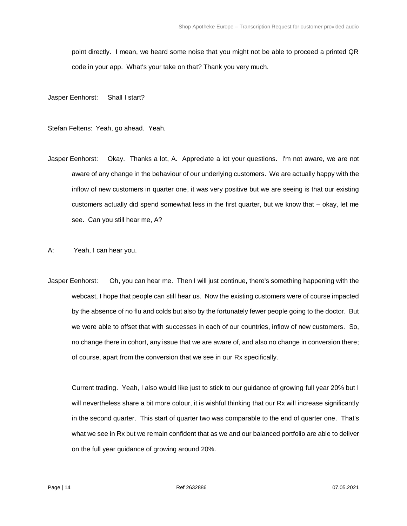point directly. I mean, we heard some noise that you might not be able to proceed a printed QR code in your app. What's your take on that? Thank you very much.

Jasper Eenhorst: Shall I start?

Stefan Feltens: Yeah, go ahead. Yeah.

Jasper Eenhorst: Okay. Thanks a lot, A. Appreciate a lot your questions. I'm not aware, we are not aware of any change in the behaviour of our underlying customers. We are actually happy with the inflow of new customers in quarter one, it was very positive but we are seeing is that our existing customers actually did spend somewhat less in the first quarter, but we know that – okay, let me see. Can you still hear me, A?

A: Yeah, I can hear you.

Jasper Eenhorst: Oh, you can hear me. Then I will just continue, there's something happening with the webcast, I hope that people can still hear us. Now the existing customers were of course impacted by the absence of no flu and colds but also by the fortunately fewer people going to the doctor. But we were able to offset that with successes in each of our countries, inflow of new customers. So, no change there in cohort, any issue that we are aware of, and also no change in conversion there; of course, apart from the conversion that we see in our Rx specifically.

Current trading. Yeah, I also would like just to stick to our guidance of growing full year 20% but I will nevertheless share a bit more colour, it is wishful thinking that our Rx will increase significantly in the second quarter. This start of quarter two was comparable to the end of quarter one. That's what we see in Rx but we remain confident that as we and our balanced portfolio are able to deliver on the full year guidance of growing around 20%.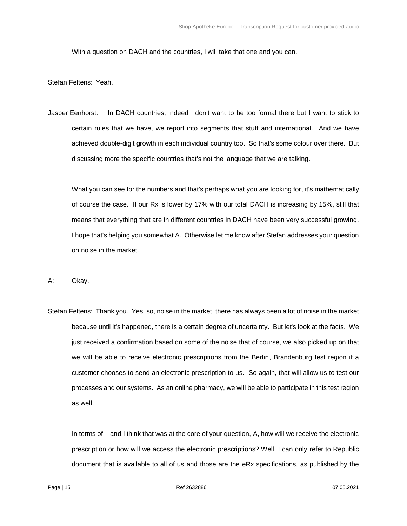With a question on DACH and the countries, I will take that one and you can.

Stefan Feltens: Yeah.

Jasper Eenhorst: In DACH countries, indeed I don't want to be too formal there but I want to stick to certain rules that we have, we report into segments that stuff and international. And we have achieved double-digit growth in each individual country too. So that's some colour over there. But discussing more the specific countries that's not the language that we are talking.

What you can see for the numbers and that's perhaps what you are looking for, it's mathematically of course the case. If our Rx is lower by 17% with our total DACH is increasing by 15%, still that means that everything that are in different countries in DACH have been very successful growing. I hope that's helping you somewhat A. Otherwise let me know after Stefan addresses your question on noise in the market.

A: Okay.

Stefan Feltens: Thank you. Yes, so, noise in the market, there has always been a lot of noise in the market because until it's happened, there is a certain degree of uncertainty. But let's look at the facts. We just received a confirmation based on some of the noise that of course, we also picked up on that we will be able to receive electronic prescriptions from the Berlin, Brandenburg test region if a customer chooses to send an electronic prescription to us. So again, that will allow us to test our processes and our systems. As an online pharmacy, we will be able to participate in this test region as well.

In terms of – and I think that was at the core of your question, A, how will we receive the electronic prescription or how will we access the electronic prescriptions? Well, I can only refer to Republic document that is available to all of us and those are the eRx specifications, as published by the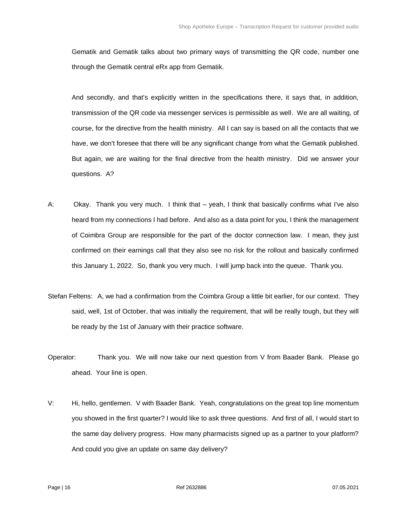Gematik and Gematik talks about two primary ways of transmitting the QR code, number one through the Gematik central eRx app from Gematik.

And secondly, and that's explicitly written in the specifications there, it says that, in addition, transmission of the QR code via messenger services is permissible as well. We are all waiting, of course, for the directive from the health ministry. All I can say is based on all the contacts that we have, we don't foresee that there will be any significant change from what the Gematik published. But again, we are waiting for the final directive from the health ministry. Did we answer your questions. A?

- A: Okay. Thank you very much. I think that yeah, I think that basically confirms what I've also heard from my connections I had before. And also as a data point for you, I think the management of Coimbra Group are responsible for the part of the doctor connection law. I mean, they just confirmed on their earnings call that they also see no risk for the rollout and basically confirmed this January 1, 2022. So, thank you very much. I will jump back into the queue. Thank you.
- Stefan Feltens: A, we had a confirmation from the Coimbra Group a little bit earlier, for our context. They said, well, 1st of October, that was initially the requirement, that will be really tough, but they will be ready by the 1st of January with their practice software.
- Operator: Thank you. We will now take our next question from V from Baader Bank. Please go ahead. Your line is open.
- V: Hi, hello, gentlemen. V with Baader Bank. Yeah, congratulations on the great top line momentum you showed in the first quarter? I would like to ask three questions. And first of all, I would start to the same day delivery progress. How many pharmacists signed up as a partner to your platform? And could you give an update on same day delivery?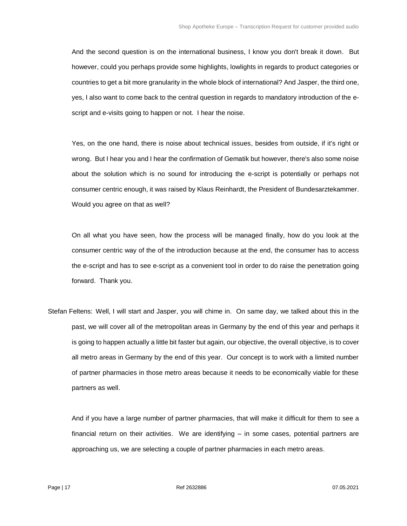And the second question is on the international business, I know you don't break it down. But however, could you perhaps provide some highlights, lowlights in regards to product categories or countries to get a bit more granularity in the whole block of international? And Jasper, the third one, yes, I also want to come back to the central question in regards to mandatory introduction of the escript and e-visits going to happen or not. I hear the noise.

Yes, on the one hand, there is noise about technical issues, besides from outside, if it's right or wrong. But I hear you and I hear the confirmation of Gematik but however, there's also some noise about the solution which is no sound for introducing the e-script is potentially or perhaps not consumer centric enough, it was raised by Klaus Reinhardt, the President of Bundesarztekammer. Would you agree on that as well?

On all what you have seen, how the process will be managed finally, how do you look at the consumer centric way of the of the introduction because at the end, the consumer has to access the e-script and has to see e-script as a convenient tool in order to do raise the penetration going forward. Thank you.

Stefan Feltens: Well, I will start and Jasper, you will chime in. On same day, we talked about this in the past, we will cover all of the metropolitan areas in Germany by the end of this year and perhaps it is going to happen actually a little bit faster but again, our objective, the overall objective, is to cover all metro areas in Germany by the end of this year. Our concept is to work with a limited number of partner pharmacies in those metro areas because it needs to be economically viable for these partners as well.

And if you have a large number of partner pharmacies, that will make it difficult for them to see a financial return on their activities. We are identifying – in some cases, potential partners are approaching us, we are selecting a couple of partner pharmacies in each metro areas.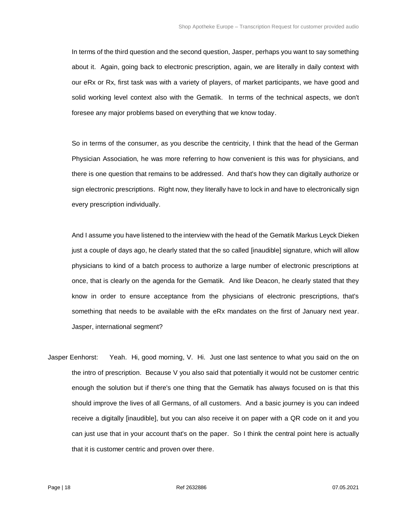In terms of the third question and the second question, Jasper, perhaps you want to say something about it. Again, going back to electronic prescription, again, we are literally in daily context with our eRx or Rx, first task was with a variety of players, of market participants, we have good and solid working level context also with the Gematik. In terms of the technical aspects, we don't foresee any major problems based on everything that we know today.

So in terms of the consumer, as you describe the centricity, I think that the head of the German Physician Association, he was more referring to how convenient is this was for physicians, and there is one question that remains to be addressed. And that's how they can digitally authorize or sign electronic prescriptions. Right now, they literally have to lock in and have to electronically sign every prescription individually.

And I assume you have listened to the interview with the head of the Gematik Markus Leyck Dieken just a couple of days ago, he clearly stated that the so called [inaudible] signature, which will allow physicians to kind of a batch process to authorize a large number of electronic prescriptions at once, that is clearly on the agenda for the Gematik. And like Deacon, he clearly stated that they know in order to ensure acceptance from the physicians of electronic prescriptions, that's something that needs to be available with the eRx mandates on the first of January next year. Jasper, international segment?

Jasper Eenhorst: Yeah. Hi, good morning, V. Hi. Just one last sentence to what you said on the on the intro of prescription. Because V you also said that potentially it would not be customer centric enough the solution but if there's one thing that the Gematik has always focused on is that this should improve the lives of all Germans, of all customers. And a basic journey is you can indeed receive a digitally [inaudible], but you can also receive it on paper with a QR code on it and you can just use that in your account that's on the paper. So I think the central point here is actually that it is customer centric and proven over there.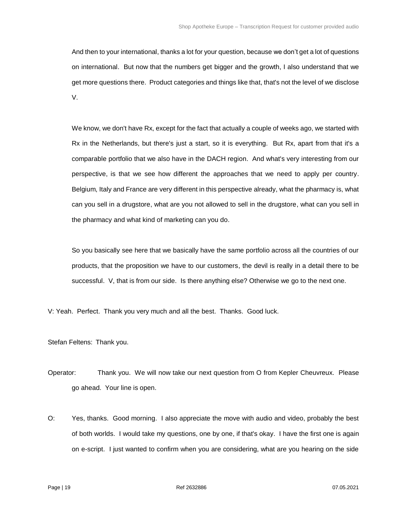And then to your international, thanks a lot for your question, because we don't get a lot of questions on international. But now that the numbers get bigger and the growth, I also understand that we get more questions there. Product categories and things like that, that's not the level of we disclose V.

We know, we don't have Rx, except for the fact that actually a couple of weeks ago, we started with Rx in the Netherlands, but there's just a start, so it is everything. But Rx, apart from that it's a comparable portfolio that we also have in the DACH region. And what's very interesting from our perspective, is that we see how different the approaches that we need to apply per country. Belgium, Italy and France are very different in this perspective already, what the pharmacy is, what can you sell in a drugstore, what are you not allowed to sell in the drugstore, what can you sell in the pharmacy and what kind of marketing can you do.

So you basically see here that we basically have the same portfolio across all the countries of our products, that the proposition we have to our customers, the devil is really in a detail there to be successful. V, that is from our side. Is there anything else? Otherwise we go to the next one.

V: Yeah. Perfect. Thank you very much and all the best. Thanks. Good luck.

Stefan Feltens: Thank you.

- Operator: Thank you. We will now take our next question from O from Kepler Cheuvreux. Please go ahead. Your line is open.
- O: Yes, thanks. Good morning. I also appreciate the move with audio and video, probably the best of both worlds. I would take my questions, one by one, if that's okay. I have the first one is again on e-script. I just wanted to confirm when you are considering, what are you hearing on the side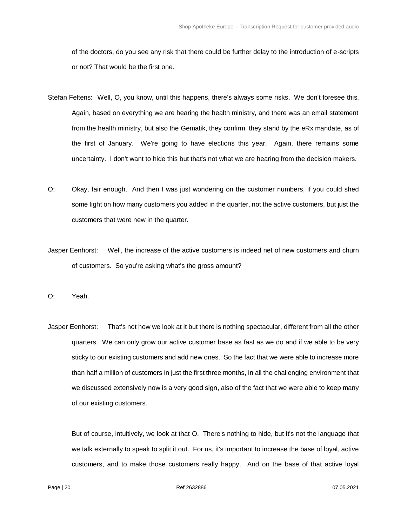of the doctors, do you see any risk that there could be further delay to the introduction of e-scripts or not? That would be the first one.

- Stefan Feltens: Well, O, you know, until this happens, there's always some risks. We don't foresee this. Again, based on everything we are hearing the health ministry, and there was an email statement from the health ministry, but also the Gematik, they confirm, they stand by the eRx mandate, as of the first of January. We're going to have elections this year. Again, there remains some uncertainty. I don't want to hide this but that's not what we are hearing from the decision makers.
- O: Okay, fair enough. And then I was just wondering on the customer numbers, if you could shed some light on how many customers you added in the quarter, not the active customers, but just the customers that were new in the quarter.
- Jasper Eenhorst: Well, the increase of the active customers is indeed net of new customers and churn of customers. So you're asking what's the gross amount?
- O: Yeah.
- Jasper Eenhorst: That's not how we look at it but there is nothing spectacular, different from all the other quarters. We can only grow our active customer base as fast as we do and if we able to be very sticky to our existing customers and add new ones. So the fact that we were able to increase more than half a million of customers in just the first three months, in all the challenging environment that we discussed extensively now is a very good sign, also of the fact that we were able to keep many of our existing customers.

But of course, intuitively, we look at that O. There's nothing to hide, but it's not the language that we talk externally to speak to split it out. For us, it's important to increase the base of loyal, active customers, and to make those customers really happy. And on the base of that active loyal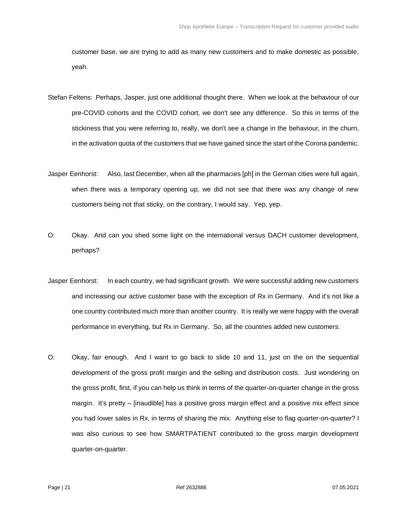customer base, we are trying to add as many new customers and to make domestic as possible, yeah.

- Stefan Feltens: Perhaps, Jasper, just one additional thought there. When we look at the behaviour of our pre-COVID cohorts and the COVID cohort, we don't see any difference. So this in terms of the stickiness that you were referring to, really, we don't see a change in the behaviour, in the churn, in the activation quota of the customers that we have gained since the start of the Corona pandemic.
- Jasper Eenhorst: Also, last December, when all the pharmacies [ph] in the German cities were full again, when there was a temporary opening up, we did not see that there was any change of new customers being not that sticky, on the contrary, I would say. Yep, yep.
- O: Okay. And can you shed some light on the international versus DACH customer development, perhaps?
- Jasper Eenhorst: In each country, we had significant growth. We were successful adding new customers and increasing our active customer base with the exception of Rx in Germany. And it's not like a one country contributed much more than another country. It is really we were happy with the overall performance in everything, but Rx in Germany. So, all the countries added new customers.
- O: Okay, fair enough. And I want to go back to slide 10 and 11, just on the on the sequential development of the gross profit margin and the selling and distribution costs. Just wondering on the gross profit, first, if you can help us think in terms of the quarter-on-quarter change in the gross margin. It's pretty – [inaudible] has a positive gross margin effect and a positive mix effect since you had lower sales in Rx, in terms of sharing the mix. Anything else to flag quarter-on-quarter? I was also curious to see how SMARTPATIENT contributed to the gross margin development quarter-on-quarter.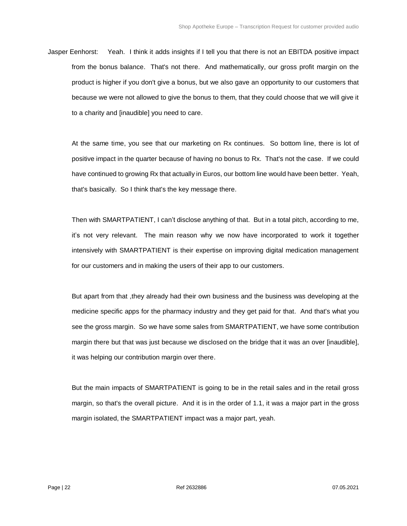Jasper Eenhorst: Yeah. I think it adds insights if I tell you that there is not an EBITDA positive impact from the bonus balance. That's not there. And mathematically, our gross profit margin on the product is higher if you don't give a bonus, but we also gave an opportunity to our customers that because we were not allowed to give the bonus to them, that they could choose that we will give it to a charity and [inaudible] you need to care.

At the same time, you see that our marketing on Rx continues. So bottom line, there is lot of positive impact in the quarter because of having no bonus to Rx. That's not the case. If we could have continued to growing Rx that actually in Euros, our bottom line would have been better. Yeah, that's basically. So I think that's the key message there.

Then with SMARTPATIENT, I can't disclose anything of that. But in a total pitch, according to me, it's not very relevant. The main reason why we now have incorporated to work it together intensively with SMARTPATIENT is their expertise on improving digital medication management for our customers and in making the users of their app to our customers.

But apart from that ,they already had their own business and the business was developing at the medicine specific apps for the pharmacy industry and they get paid for that. And that's what you see the gross margin. So we have some sales from SMARTPATIENT, we have some contribution margin there but that was just because we disclosed on the bridge that it was an over [inaudible], it was helping our contribution margin over there.

But the main impacts of SMARTPATIENT is going to be in the retail sales and in the retail gross margin, so that's the overall picture. And it is in the order of 1.1, it was a major part in the gross margin isolated, the SMARTPATIENT impact was a major part, yeah.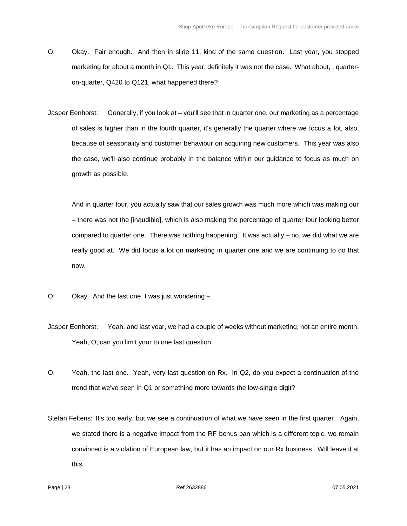- O: Okay. Fair enough. And then in slide 11, kind of the same question. Last year, you stopped marketing for about a month in Q1. This year, definitely it was not the case. What about, , quarteron-quarter, Q420 to Q121, what happened there?
- Jasper Eenhorst: Generally, if you look at you'll see that in quarter one, our marketing as a percentage of sales is higher than in the fourth quarter, it's generally the quarter where we focus a lot, also, because of seasonality and customer behaviour on acquiring new customers. This year was also the case, we'll also continue probably in the balance within our guidance to focus as much on growth as possible.

And in quarter four, you actually saw that our sales growth was much more which was making our – there was not the [inaudible], which is also making the percentage of quarter four looking better compared to quarter one. There was nothing happening. It was actually – no, we did what we are really good at. We did focus a lot on marketing in quarter one and we are continuing to do that now.

- O: Okay. And the last one, I was just wondering –
- Jasper Eenhorst: Yeah, and last year, we had a couple of weeks without marketing, not an entire month. Yeah, O, can you limit your to one last question.
- O: Yeah, the last one. Yeah, very last question on Rx. In Q2, do you expect a continuation of the trend that we've seen in Q1 or something more towards the low-single digit?
- Stefan Feltens: It's too early, but we see a continuation of what we have seen in the first quarter. Again, we stated there is a negative impact from the RF bonus ban which is a different topic, we remain convinced is a violation of European law, but it has an impact on our Rx business. Will leave it at this.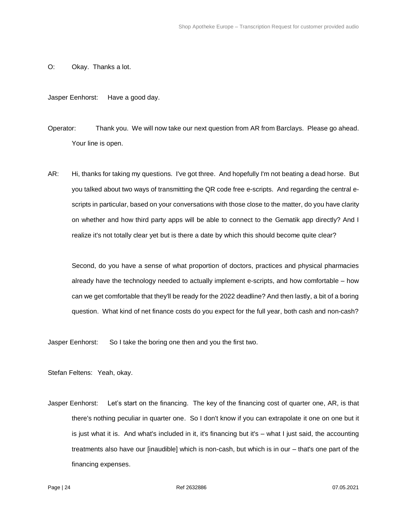O: Okay. Thanks a lot.

Jasper Eenhorst: Have a good day.

- Operator: Thank you. We will now take our next question from AR from Barclays. Please go ahead. Your line is open.
- AR: Hi, thanks for taking my questions. I've got three. And hopefully I'm not beating a dead horse. But you talked about two ways of transmitting the QR code free e-scripts. And regarding the central escripts in particular, based on your conversations with those close to the matter, do you have clarity on whether and how third party apps will be able to connect to the Gematik app directly? And I realize it's not totally clear yet but is there a date by which this should become quite clear?

Second, do you have a sense of what proportion of doctors, practices and physical pharmacies already have the technology needed to actually implement e-scripts, and how comfortable – how can we get comfortable that they'll be ready for the 2022 deadline? And then lastly, a bit of a boring question. What kind of net finance costs do you expect for the full year, both cash and non-cash?

Jasper Eenhorst: So I take the boring one then and you the first two.

Stefan Feltens: Yeah, okay.

Jasper Eenhorst: Let's start on the financing. The key of the financing cost of quarter one, AR, is that there's nothing peculiar in quarter one. So I don't know if you can extrapolate it one on one but it is just what it is. And what's included in it, it's financing but it's – what I just said, the accounting treatments also have our [inaudible] which is non-cash, but which is in our – that's one part of the financing expenses.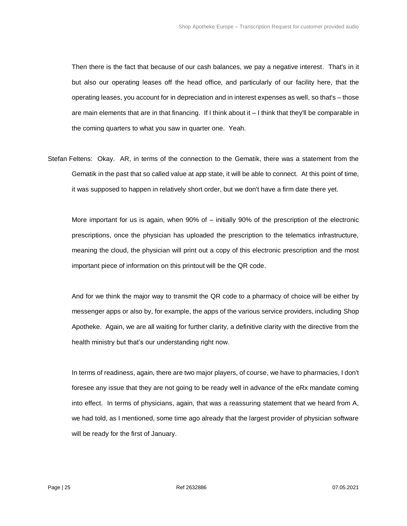Then there is the fact that because of our cash balances, we pay a negative interest. That's in it but also our operating leases off the head office, and particularly of our facility here, that the operating leases, you account for in depreciation and in interest expenses as well, so that's – those are main elements that are in that financing. If I think about it – I think that they'll be comparable in the coming quarters to what you saw in quarter one. Yeah.

Stefan Feltens: Okay. AR, in terms of the connection to the Gematik, there was a statement from the Gematik in the past that so called value at app state, it will be able to connect. At this point of time, it was supposed to happen in relatively short order, but we don't have a firm date there yet.

More important for us is again, when 90% of – initially 90% of the prescription of the electronic prescriptions, once the physician has uploaded the prescription to the telematics infrastructure, meaning the cloud, the physician will print out a copy of this electronic prescription and the most important piece of information on this printout will be the QR code.

And for we think the major way to transmit the QR code to a pharmacy of choice will be either by messenger apps or also by, for example, the apps of the various service providers, including Shop Apotheke. Again, we are all waiting for further clarity, a definitive clarity with the directive from the health ministry but that's our understanding right now.

In terms of readiness, again, there are two major players, of course, we have to pharmacies, I don't foresee any issue that they are not going to be ready well in advance of the eRx mandate coming into effect. In terms of physicians, again, that was a reassuring statement that we heard from A, we had told, as I mentioned, some time ago already that the largest provider of physician software will be ready for the first of January.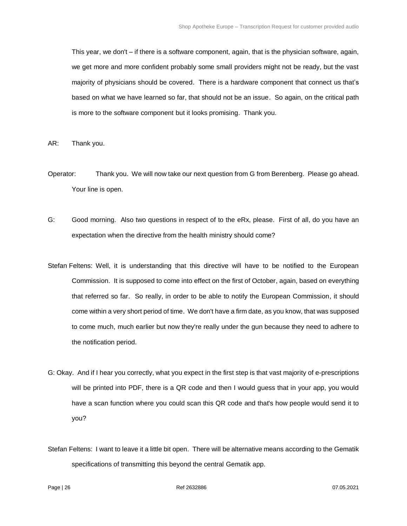This year, we don't – if there is a software component, again, that is the physician software, again, we get more and more confident probably some small providers might not be ready, but the vast majority of physicians should be covered. There is a hardware component that connect us that's based on what we have learned so far, that should not be an issue. So again, on the critical path is more to the software component but it looks promising. Thank you.

AR: Thank you.

- Operator: Thank you. We will now take our next question from G from Berenberg. Please go ahead. Your line is open.
- G: Good morning. Also two questions in respect of to the eRx, please. First of all, do you have an expectation when the directive from the health ministry should come?
- Stefan Feltens: Well, it is understanding that this directive will have to be notified to the European Commission. It is supposed to come into effect on the first of October, again, based on everything that referred so far. So really, in order to be able to notify the European Commission, it should come within a very short period of time. We don't have a firm date, as you know, that was supposed to come much, much earlier but now they're really under the gun because they need to adhere to the notification period.
- G: Okay. And if I hear you correctly, what you expect in the first step is that vast majority of e-prescriptions will be printed into PDF, there is a QR code and then I would guess that in your app, you would have a scan function where you could scan this QR code and that's how people would send it to you?
- Stefan Feltens: I want to leave it a little bit open. There will be alternative means according to the Gematik specifications of transmitting this beyond the central Gematik app.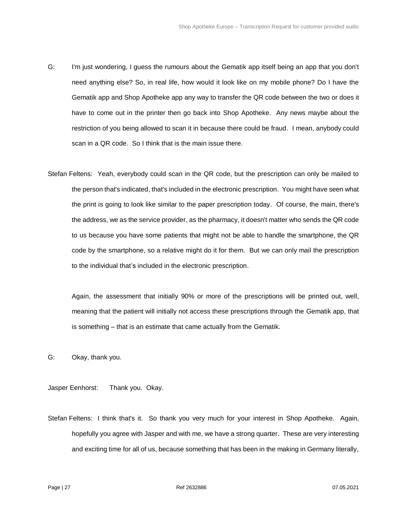- G: I'm just wondering, I guess the rumours about the Gematik app itself being an app that you don't need anything else? So, in real life, how would it look like on my mobile phone? Do I have the Gematik app and Shop Apotheke app any way to transfer the QR code between the two or does it have to come out in the printer then go back into Shop Apotheke. Any news maybe about the restriction of you being allowed to scan it in because there could be fraud. I mean, anybody could scan in a QR code. So I think that is the main issue there.
- Stefan Feltens: Yeah, everybody could scan in the QR code, but the prescription can only be mailed to the person that's indicated, that's included in the electronic prescription. You might have seen what the print is going to look like similar to the paper prescription today. Of course, the main, there's the address, we as the service provider, as the pharmacy, it doesn't matter who sends the QR code to us because you have some patients that might not be able to handle the smartphone, the QR code by the smartphone, so a relative might do it for them. But we can only mail the prescription to the individual that's included in the electronic prescription.

Again, the assessment that initially 90% or more of the prescriptions will be printed out, well, meaning that the patient will initially not access these prescriptions through the Gematik app, that is something – that is an estimate that came actually from the Gematik.

G: Okay, thank you.

Jasper Eenhorst: Thank you. Okay.

Stefan Feltens: I think that's it. So thank you very much for your interest in Shop Apotheke. Again, hopefully you agree with Jasper and with me, we have a strong quarter. These are very interesting and exciting time for all of us, because something that has been in the making in Germany literally,